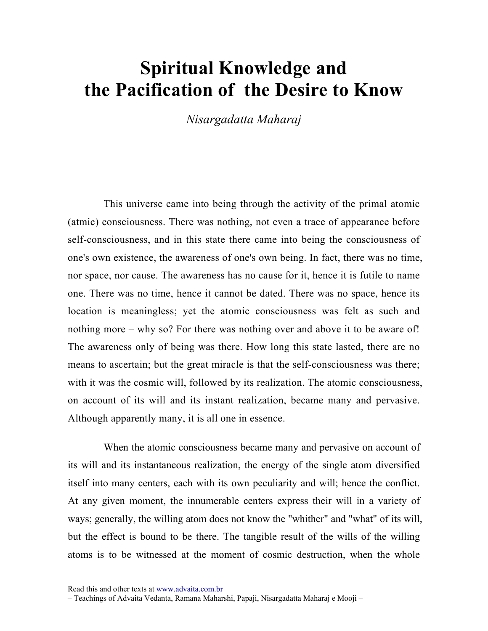## Spiritual Knowledge and the Pacification of the Desire to Know

Nisargadatta Maharaj

This universe came into being through the activity of the primal atomic (atmic) consciousness. There was nothing, not even a trace of appearance before self-consciousness, and in this state there came into being the consciousness of one's own existence, the awareness of one's own being. In fact, there was no time, nor space, nor cause. The awareness has no cause for it, hence it is futile to name one. There was no time, hence it cannot be dated. There was no space, hence its location is meaningless; yet the atomic consciousness was felt as such and nothing more – why so? For there was nothing over and above it to be aware of! The awareness only of being was there. How long this state lasted, there are no means to ascertain; but the great miracle is that the self-consciousness was there; with it was the cosmic will, followed by its realization. The atomic consciousness, on account of its will and its instant realization, became many and pervasive. Although apparently many, it is all one in essence.

When the atomic consciousness became many and pervasive on account of its will and its instantaneous realization, the energy of the single atom diversified itself into many centers, each with its own peculiarity and will; hence the conflict. At any given moment, the innumerable centers express their will in a variety of ways; generally, the willing atom does not know the "whither" and "what" of its will, but the effect is bound to be there. The tangible result of the wills of the willing atoms is to be witnessed at the moment of cosmic destruction, when the whole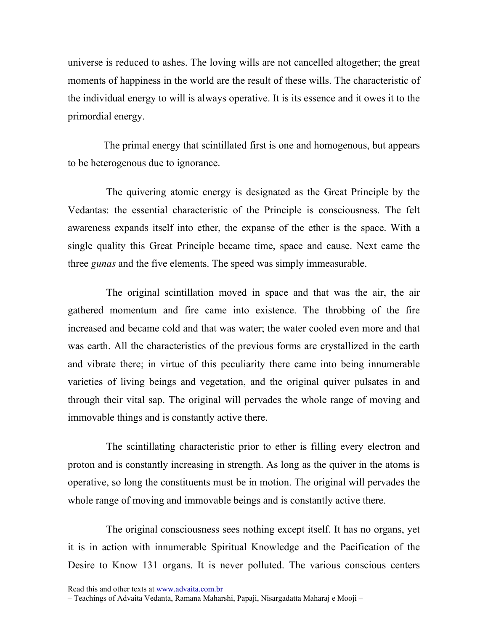universe is reduced to ashes. The loving wills are not cancelled altogether; the great moments of happiness in the world are the result of these wills. The characteristic of the individual energy to will is always operative. It is its essence and it owes it to the primordial energy.

The primal energy that scintillated first is one and homogenous, but appears to be heterogenous due to ignorance.

 The quivering atomic energy is designated as the Great Principle by the Vedantas: the essential characteristic of the Principle is consciousness. The felt awareness expands itself into ether, the expanse of the ether is the space. With a single quality this Great Principle became time, space and cause. Next came the three *gunas* and the five elements. The speed was simply immeasurable.

 The original scintillation moved in space and that was the air, the air gathered momentum and fire came into existence. The throbbing of the fire increased and became cold and that was water; the water cooled even more and that was earth. All the characteristics of the previous forms are crystallized in the earth and vibrate there; in virtue of this peculiarity there came into being innumerable varieties of living beings and vegetation, and the original quiver pulsates in and through their vital sap. The original will pervades the whole range of moving and immovable things and is constantly active there.

 The scintillating characteristic prior to ether is filling every electron and proton and is constantly increasing in strength. As long as the quiver in the atoms is operative, so long the constituents must be in motion. The original will pervades the whole range of moving and immovable beings and is constantly active there.

 The original consciousness sees nothing except itself. It has no organs, yet it is in action with innumerable Spiritual Knowledge and the Pacification of the Desire to Know 131 organs. It is never polluted. The various conscious centers

Read this and other texts at www.advaita.com.br

<sup>–</sup> Teachings of Advaita Vedanta, Ramana Maharshi, Papaji, Nisargadatta Maharaj e Mooji –